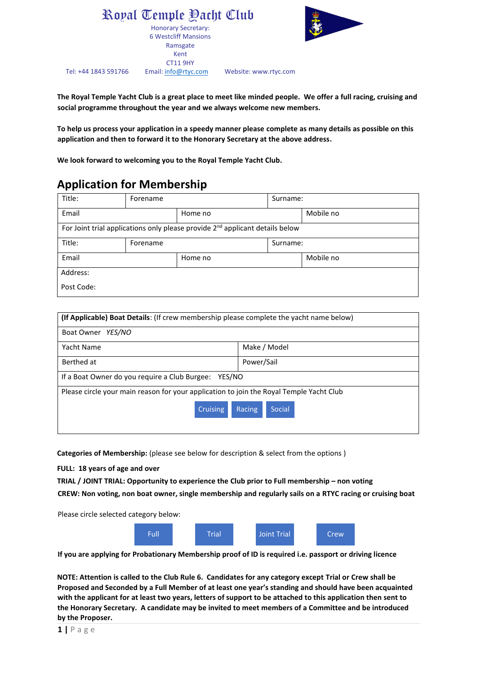Royal Temple Yacht Club Honorary Secretary: 6 Westcliff Mansions Ramsgate Kent CT11 9HY Tel: +44 1843 591766 Email[: info@rtyc.com](mailto:info@rtyc.com) Website: www.rtyc.com



**The Royal Temple Yacht Club is a great place to meet like minded people. We offer a full racing, cruising and social programme throughout the year and we always welcome new members.** 

**To help us process your application in a speedy manner please complete as many details as possible on this application and then to forward it to the Honorary Secretary at the above address.** 

**We look forward to welcoming you to the Royal Temple Yacht Club.** 

## **Application for Membership**

| Title:                                                                                   | Forename |         | Surname: |           |  |  |  |
|------------------------------------------------------------------------------------------|----------|---------|----------|-----------|--|--|--|
| Email                                                                                    |          | Home no |          | Mobile no |  |  |  |
| For Joint trial applications only please provide 2 <sup>nd</sup> applicant details below |          |         |          |           |  |  |  |
| Title:                                                                                   | Forename |         |          | Surname:  |  |  |  |
| Email                                                                                    |          | Home no |          | Mobile no |  |  |  |
| Address:                                                                                 |          |         |          |           |  |  |  |
| Post Code:                                                                               |          |         |          |           |  |  |  |

| (If Applicable) Boat Details: (If crew membership please complete the yacht name below) |                  |  |  |  |  |
|-----------------------------------------------------------------------------------------|------------------|--|--|--|--|
| Boat Owner YES/NO                                                                       |                  |  |  |  |  |
| Yacht Name                                                                              | Make / Model     |  |  |  |  |
| Berthed at                                                                              | Power/Sail       |  |  |  |  |
| If a Boat Owner do you require a Club Burgee: YES/NO                                    |                  |  |  |  |  |
| Please circle your main reason for your application to join the Royal Temple Yacht Club |                  |  |  |  |  |
| <b>Cruising</b>                                                                         | Racing<br>Social |  |  |  |  |
|                                                                                         |                  |  |  |  |  |

**Categories of Membership:** (please see below for description & select from the options )

**FULL: 18 years of age and over** 

**TRIAL / JOINT TRIAL: Opportunity to experience the Club prior to Full membership – non voting CREW: Non voting, non boat owner, single membership and regularly sails on a RTYC racing or cruising boat**

Please circle selected category below:



**If you are applying for Probationary Membership proof of ID is required i.e. passport or driving licence** 

**NOTE: Attention is called to the Club Rule 6. Candidates for any category except Trial or Crew shall be Proposed and Seconded by a Full Member of at least one year's standing and should have been acquainted with the applicant for at least two years, letters of support to be attached to this application then sent to the Honorary Secretary. A candidate may be invited to meet members of a Committee and be introduced by the Proposer.**